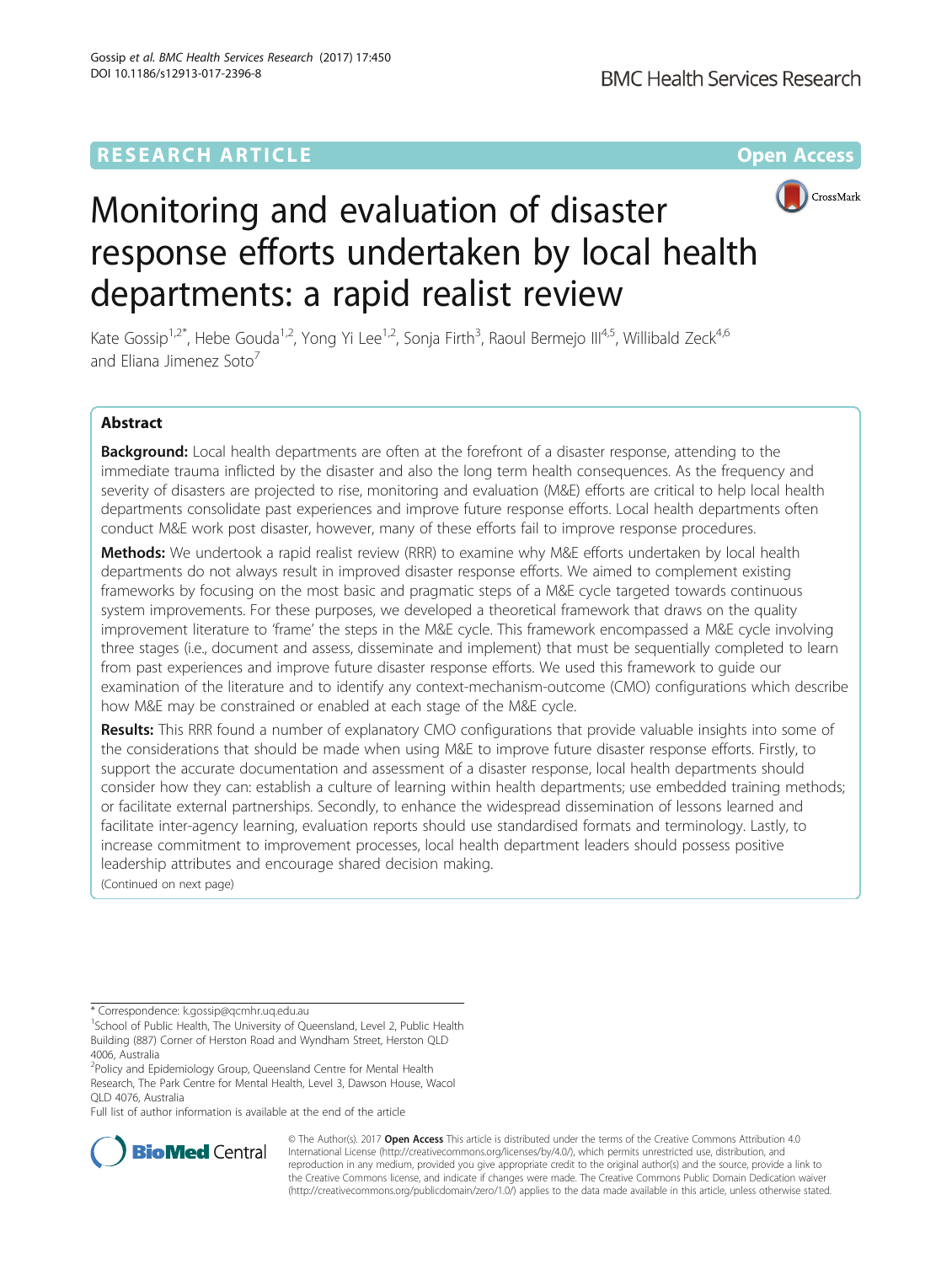# **RESEARCH ARTICLE External Structure Community Community Community Community Community Community Community Community**



# Monitoring and evaluation of disaster response efforts undertaken by local health departments: a rapid realist review

Kate Gossip<sup>1,2\*</sup>, Hebe Gouda<sup>1,2</sup>, Yong Yi Lee<sup>1,2</sup>, Sonja Firth<sup>3</sup>, Raoul Bermejo III<sup>4,5</sup>, Willibald Zeck<sup>4,6</sup> and Eliana Jimenez Soto<sup>7</sup>

# Abstract

Background: Local health departments are often at the forefront of a disaster response, attending to the immediate trauma inflicted by the disaster and also the long term health consequences. As the frequency and severity of disasters are projected to rise, monitoring and evaluation (M&E) efforts are critical to help local health departments consolidate past experiences and improve future response efforts. Local health departments often conduct M&E work post disaster, however, many of these efforts fail to improve response procedures.

Methods: We undertook a rapid realist review (RRR) to examine why M&E efforts undertaken by local health departments do not always result in improved disaster response efforts. We aimed to complement existing frameworks by focusing on the most basic and pragmatic steps of a M&E cycle targeted towards continuous system improvements. For these purposes, we developed a theoretical framework that draws on the quality improvement literature to 'frame' the steps in the M&E cycle. This framework encompassed a M&E cycle involving three stages (i.e., document and assess, disseminate and implement) that must be sequentially completed to learn from past experiences and improve future disaster response efforts. We used this framework to guide our examination of the literature and to identify any context-mechanism-outcome (CMO) configurations which describe how M&E may be constrained or enabled at each stage of the M&E cycle.

Results: This RRR found a number of explanatory CMO configurations that provide valuable insights into some of the considerations that should be made when using M&E to improve future disaster response efforts. Firstly, to support the accurate documentation and assessment of a disaster response, local health departments should consider how they can: establish a culture of learning within health departments; use embedded training methods; or facilitate external partnerships. Secondly, to enhance the widespread dissemination of lessons learned and facilitate inter-agency learning, evaluation reports should use standardised formats and terminology. Lastly, to increase commitment to improvement processes, local health department leaders should possess positive leadership attributes and encourage shared decision making.

(Continued on next page)

<sup>2</sup>Policy and Epidemiology Group, Queensland Centre for Mental Health Research, The Park Centre for Mental Health, Level 3, Dawson House, Wacol QLD 4076, Australia

Full list of author information is available at the end of the article



© The Author(s). 2017 **Open Access** This article is distributed under the terms of the Creative Commons Attribution 4.0 International License [\(http://creativecommons.org/licenses/by/4.0/](http://creativecommons.org/licenses/by/4.0/)), which permits unrestricted use, distribution, and reproduction in any medium, provided you give appropriate credit to the original author(s) and the source, provide a link to the Creative Commons license, and indicate if changes were made. The Creative Commons Public Domain Dedication waiver [\(http://creativecommons.org/publicdomain/zero/1.0/](http://creativecommons.org/publicdomain/zero/1.0/)) applies to the data made available in this article, unless otherwise stated.

<sup>\*</sup> Correspondence: [k.gossip@qcmhr.uq.edu.au](mailto:k.gossip@qcmhr.uq.edu.au) <sup>1</sup>

<sup>&</sup>lt;sup>1</sup>School of Public Health, The University of Queensland, Level 2, Public Health Building (887) Corner of Herston Road and Wyndham Street, Herston QLD 4006, Australia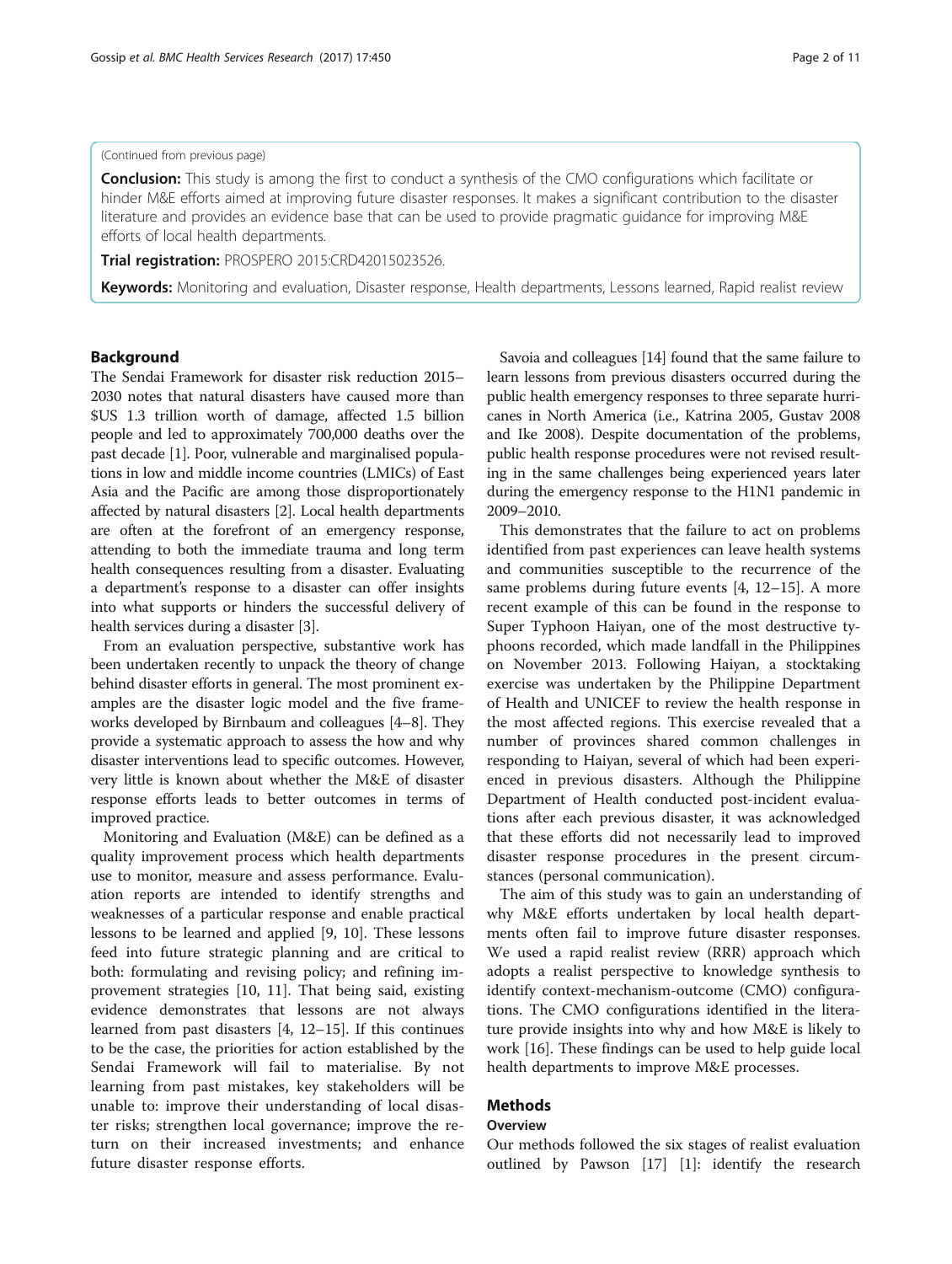### (Continued from previous page)

Conclusion: This study is among the first to conduct a synthesis of the CMO configurations which facilitate or hinder M&E efforts aimed at improving future disaster responses. It makes a significant contribution to the disaster literature and provides an evidence base that can be used to provide pragmatic guidance for improving M&E efforts of local health departments.

# Trial registration: PROSPERO 2015:[CRD42015023526.](http://www.crd.york.ac.uk/PROSPERO/display_record.asp?ID=CRD42015023526)

Keywords: Monitoring and evaluation, Disaster response, Health departments, Lessons learned, Rapid realist review

# Background

The Sendai Framework for disaster risk reduction 2015– 2030 notes that natural disasters have caused more than \$US 1.3 trillion worth of damage, affected 1.5 billion people and led to approximately 700,000 deaths over the past decade [\[1\]](#page-9-0). Poor, vulnerable and marginalised populations in low and middle income countries (LMICs) of East Asia and the Pacific are among those disproportionately affected by natural disasters [[2\]](#page-9-0). Local health departments are often at the forefront of an emergency response, attending to both the immediate trauma and long term health consequences resulting from a disaster. Evaluating a department's response to a disaster can offer insights into what supports or hinders the successful delivery of health services during a disaster [[3\]](#page-9-0).

From an evaluation perspective, substantive work has been undertaken recently to unpack the theory of change behind disaster efforts in general. The most prominent examples are the disaster logic model and the five frameworks developed by Birnbaum and colleagues [[4](#page-9-0)–[8](#page-10-0)]. They provide a systematic approach to assess the how and why disaster interventions lead to specific outcomes. However, very little is known about whether the M&E of disaster response efforts leads to better outcomes in terms of improved practice.

Monitoring and Evaluation (M&E) can be defined as a quality improvement process which health departments use to monitor, measure and assess performance. Evaluation reports are intended to identify strengths and weaknesses of a particular response and enable practical lessons to be learned and applied [[9, 10\]](#page-10-0). These lessons feed into future strategic planning and are critical to both: formulating and revising policy; and refining improvement strategies [[10, 11\]](#page-10-0). That being said, existing evidence demonstrates that lessons are not always learned from past disasters [[4,](#page-9-0) [12](#page-10-0)–[15](#page-10-0)]. If this continues to be the case, the priorities for action established by the Sendai Framework will fail to materialise. By not learning from past mistakes, key stakeholders will be unable to: improve their understanding of local disaster risks; strengthen local governance; improve the return on their increased investments; and enhance future disaster response efforts.

Savoia and colleagues [\[14](#page-10-0)] found that the same failure to learn lessons from previous disasters occurred during the public health emergency responses to three separate hurricanes in North America (i.e., Katrina 2005, Gustav 2008 and Ike 2008). Despite documentation of the problems, public health response procedures were not revised resulting in the same challenges being experienced years later during the emergency response to the H1N1 pandemic in 2009–2010.

This demonstrates that the failure to act on problems identified from past experiences can leave health systems and communities susceptible to the recurrence of the same problems during future events [[4,](#page-9-0) [12](#page-10-0)–[15\]](#page-10-0). A more recent example of this can be found in the response to Super Typhoon Haiyan, one of the most destructive typhoons recorded, which made landfall in the Philippines on November 2013. Following Haiyan, a stocktaking exercise was undertaken by the Philippine Department of Health and UNICEF to review the health response in the most affected regions. This exercise revealed that a number of provinces shared common challenges in responding to Haiyan, several of which had been experienced in previous disasters. Although the Philippine Department of Health conducted post-incident evaluations after each previous disaster, it was acknowledged that these efforts did not necessarily lead to improved disaster response procedures in the present circumstances (personal communication).

The aim of this study was to gain an understanding of why M&E efforts undertaken by local health departments often fail to improve future disaster responses. We used a rapid realist review (RRR) approach which adopts a realist perspective to knowledge synthesis to identify context-mechanism-outcome (CMO) configurations. The CMO configurations identified in the literature provide insights into why and how M&E is likely to work [\[16](#page-10-0)]. These findings can be used to help guide local health departments to improve M&E processes.

# Methods

# **Overview**

Our methods followed the six stages of realist evaluation outlined by Pawson [[17\]](#page-10-0) [\[1](#page-9-0)]: identify the research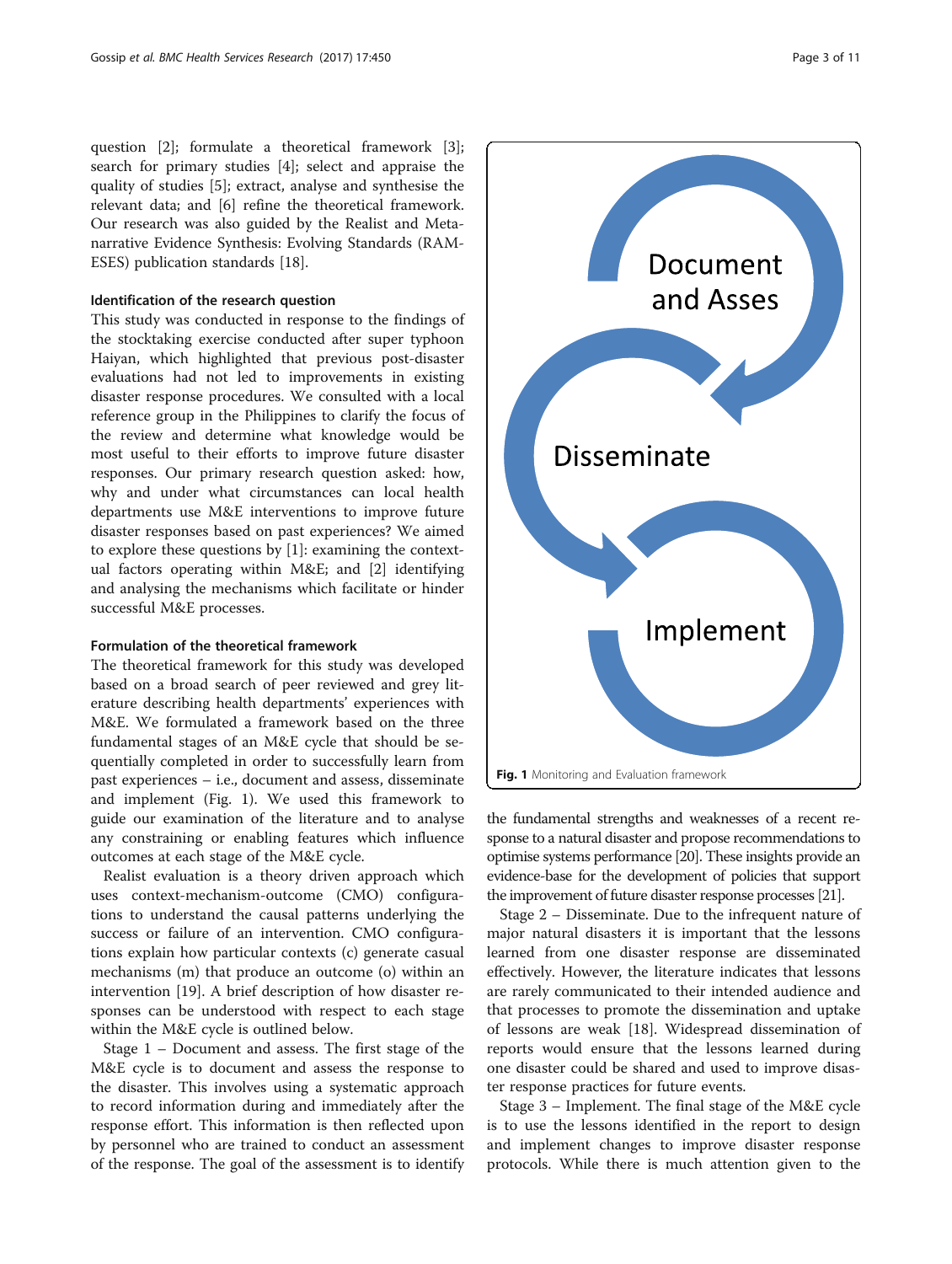question [[2\]](#page-9-0); formulate a theoretical framework [\[3](#page-9-0)]; search for primary studies [[4\]](#page-9-0); select and appraise the quality of studies [\[5](#page-10-0)]; extract, analyse and synthesise the relevant data; and [[6\]](#page-10-0) refine the theoretical framework. Our research was also guided by the Realist and Metanarrative Evidence Synthesis: Evolving Standards (RAM-ESES) publication standards [\[18\]](#page-10-0).

#### Identification of the research question

This study was conducted in response to the findings of the stocktaking exercise conducted after super typhoon Haiyan, which highlighted that previous post-disaster evaluations had not led to improvements in existing disaster response procedures. We consulted with a local reference group in the Philippines to clarify the focus of the review and determine what knowledge would be most useful to their efforts to improve future disaster responses. Our primary research question asked: how, why and under what circumstances can local health departments use M&E interventions to improve future disaster responses based on past experiences? We aimed to explore these questions by [\[1](#page-9-0)]: examining the contextual factors operating within M&E; and [\[2\]](#page-9-0) identifying and analysing the mechanisms which facilitate or hinder successful M&E processes.

# Formulation of the theoretical framework

The theoretical framework for this study was developed based on a broad search of peer reviewed and grey literature describing health departments' experiences with M&E. We formulated a framework based on the three fundamental stages of an M&E cycle that should be sequentially completed in order to successfully learn from past experiences – i.e., document and assess, disseminate and implement (Fig. 1). We used this framework to guide our examination of the literature and to analyse any constraining or enabling features which influence outcomes at each stage of the M&E cycle.

Realist evaluation is a theory driven approach which uses context-mechanism-outcome (CMO) configurations to understand the causal patterns underlying the success or failure of an intervention. CMO configurations explain how particular contexts (c) generate casual mechanisms (m) that produce an outcome (o) within an intervention [\[19](#page-10-0)]. A brief description of how disaster responses can be understood with respect to each stage within the M&E cycle is outlined below.

Stage 1 – Document and assess. The first stage of the M&E cycle is to document and assess the response to the disaster. This involves using a systematic approach to record information during and immediately after the response effort. This information is then reflected upon by personnel who are trained to conduct an assessment of the response. The goal of the assessment is to identify



the fundamental strengths and weaknesses of a recent response to a natural disaster and propose recommendations to optimise systems performance [\[20\]](#page-10-0). These insights provide an evidence-base for the development of policies that support the improvement of future disaster response processes [\[21\]](#page-10-0).

Stage 2 – Disseminate. Due to the infrequent nature of major natural disasters it is important that the lessons learned from one disaster response are disseminated effectively. However, the literature indicates that lessons are rarely communicated to their intended audience and that processes to promote the dissemination and uptake of lessons are weak [\[18](#page-10-0)]. Widespread dissemination of reports would ensure that the lessons learned during one disaster could be shared and used to improve disaster response practices for future events.

Stage 3 – Implement. The final stage of the M&E cycle is to use the lessons identified in the report to design and implement changes to improve disaster response protocols. While there is much attention given to the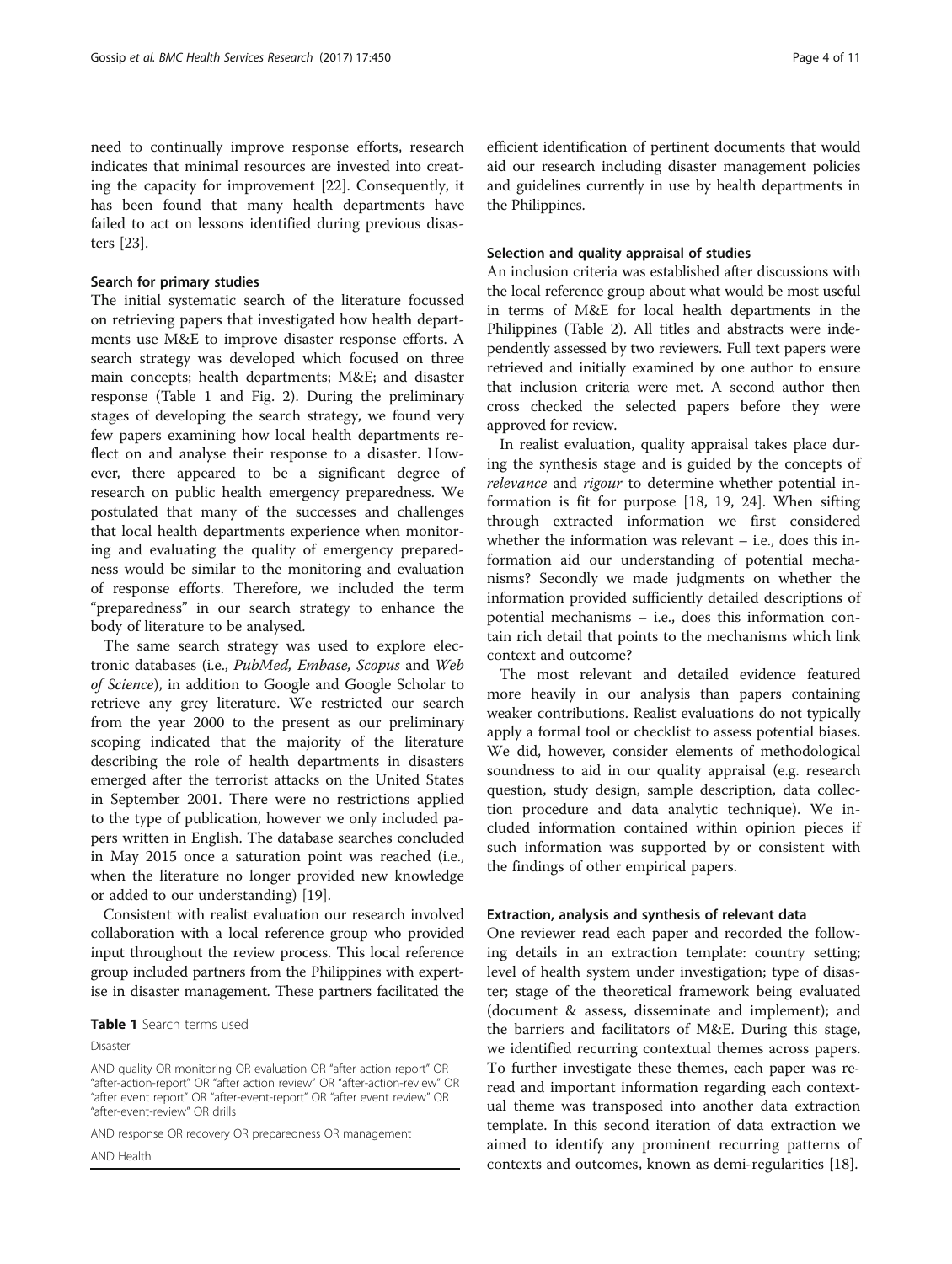need to continually improve response efforts, research indicates that minimal resources are invested into creating the capacity for improvement [\[22\]](#page-10-0). Consequently, it has been found that many health departments have failed to act on lessons identified during previous disasters [[23\]](#page-10-0).

# Search for primary studies

The initial systematic search of the literature focussed on retrieving papers that investigated how health departments use M&E to improve disaster response efforts. A search strategy was developed which focused on three main concepts; health departments; M&E; and disaster response (Table 1 and Fig. [2\)](#page-4-0). During the preliminary stages of developing the search strategy, we found very few papers examining how local health departments reflect on and analyse their response to a disaster. However, there appeared to be a significant degree of research on public health emergency preparedness. We postulated that many of the successes and challenges that local health departments experience when monitoring and evaluating the quality of emergency preparedness would be similar to the monitoring and evaluation of response efforts. Therefore, we included the term "preparedness" in our search strategy to enhance the body of literature to be analysed.

The same search strategy was used to explore electronic databases (i.e., PubMed, Embase, Scopus and Web of Science), in addition to Google and Google Scholar to retrieve any grey literature. We restricted our search from the year 2000 to the present as our preliminary scoping indicated that the majority of the literature describing the role of health departments in disasters emerged after the terrorist attacks on the United States in September 2001. There were no restrictions applied to the type of publication, however we only included papers written in English. The database searches concluded in May 2015 once a saturation point was reached (i.e., when the literature no longer provided new knowledge or added to our understanding) [\[19\]](#page-10-0).

Consistent with realist evaluation our research involved collaboration with a local reference group who provided input throughout the review process. This local reference group included partners from the Philippines with expertise in disaster management. These partners facilitated the

#### Table 1 Search terms used

Disaster

AND response OR recovery OR preparedness OR management

AND Health

efficient identification of pertinent documents that would aid our research including disaster management policies and guidelines currently in use by health departments in the Philippines.

# Selection and quality appraisal of studies

An inclusion criteria was established after discussions with the local reference group about what would be most useful in terms of M&E for local health departments in the Philippines (Table [2\)](#page-4-0). All titles and abstracts were independently assessed by two reviewers. Full text papers were retrieved and initially examined by one author to ensure that inclusion criteria were met. A second author then cross checked the selected papers before they were approved for review.

In realist evaluation, quality appraisal takes place during the synthesis stage and is guided by the concepts of relevance and rigour to determine whether potential information is fit for purpose [[18, 19](#page-10-0), [24\]](#page-10-0). When sifting through extracted information we first considered whether the information was relevant – i.e., does this information aid our understanding of potential mechanisms? Secondly we made judgments on whether the information provided sufficiently detailed descriptions of potential mechanisms – i.e., does this information contain rich detail that points to the mechanisms which link context and outcome?

The most relevant and detailed evidence featured more heavily in our analysis than papers containing weaker contributions. Realist evaluations do not typically apply a formal tool or checklist to assess potential biases. We did, however, consider elements of methodological soundness to aid in our quality appraisal (e.g. research question, study design, sample description, data collection procedure and data analytic technique). We included information contained within opinion pieces if such information was supported by or consistent with the findings of other empirical papers.

# Extraction, analysis and synthesis of relevant data

One reviewer read each paper and recorded the following details in an extraction template: country setting; level of health system under investigation; type of disaster; stage of the theoretical framework being evaluated (document & assess, disseminate and implement); and the barriers and facilitators of M&E. During this stage, we identified recurring contextual themes across papers. To further investigate these themes, each paper was reread and important information regarding each contextual theme was transposed into another data extraction template. In this second iteration of data extraction we aimed to identify any prominent recurring patterns of contexts and outcomes, known as demi-regularities [[18\]](#page-10-0).

AND quality OR monitoring OR evaluation OR "after action report" OR "after-action-report" OR "after action review" OR "after-action-review" OR "after event report" OR "after-event-report" OR "after event review" OR "after-event-review" OR drills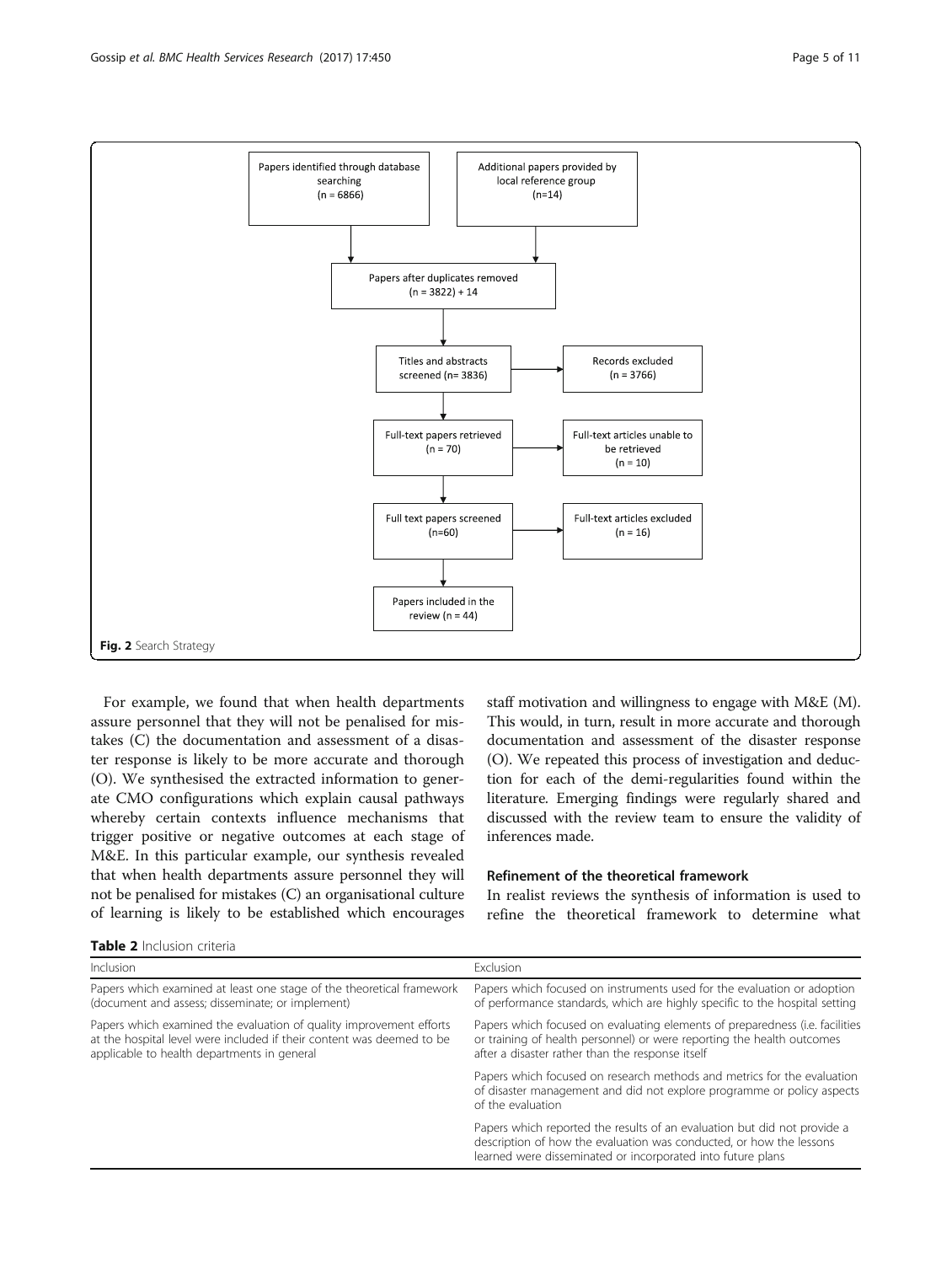<span id="page-4-0"></span>

For example, we found that when health departments assure personnel that they will not be penalised for mistakes (C) the documentation and assessment of a disaster response is likely to be more accurate and thorough (O). We synthesised the extracted information to generate CMO configurations which explain causal pathways whereby certain contexts influence mechanisms that trigger positive or negative outcomes at each stage of M&E. In this particular example, our synthesis revealed that when health departments assure personnel they will not be penalised for mistakes (C) an organisational culture of learning is likely to be established which encourages

Table 2 Inclusion criteria

staff motivation and willingness to engage with M&E (M). This would, in turn, result in more accurate and thorough documentation and assessment of the disaster response (O). We repeated this process of investigation and deduction for each of the demi-regularities found within the literature. Emerging findings were regularly shared and discussed with the review team to ensure the validity of inferences made.

# Refinement of the theoretical framework

In realist reviews the synthesis of information is used to refine the theoretical framework to determine what

| Inclusion                                                                                                                                                                                   | Exclusion                                                                                                                                                                                                      |  |
|---------------------------------------------------------------------------------------------------------------------------------------------------------------------------------------------|----------------------------------------------------------------------------------------------------------------------------------------------------------------------------------------------------------------|--|
| Papers which examined at least one stage of the theoretical framework<br>(document and assess; disseminate; or implement)                                                                   | Papers which focused on instruments used for the evaluation or adoption<br>of performance standards, which are highly specific to the hospital setting                                                         |  |
| Papers which examined the evaluation of quality improvement efforts<br>at the hospital level were included if their content was deemed to be<br>applicable to health departments in general | Papers which focused on evaluating elements of preparedness (i.e. facilities<br>or training of health personnel) or were reporting the health outcomes<br>after a disaster rather than the response itself     |  |
|                                                                                                                                                                                             | Papers which focused on research methods and metrics for the evaluation<br>of disaster management and did not explore programme or policy aspects<br>of the evaluation                                         |  |
|                                                                                                                                                                                             | Papers which reported the results of an evaluation but did not provide a<br>description of how the evaluation was conducted, or how the lessons<br>learned were disseminated or incorporated into future plans |  |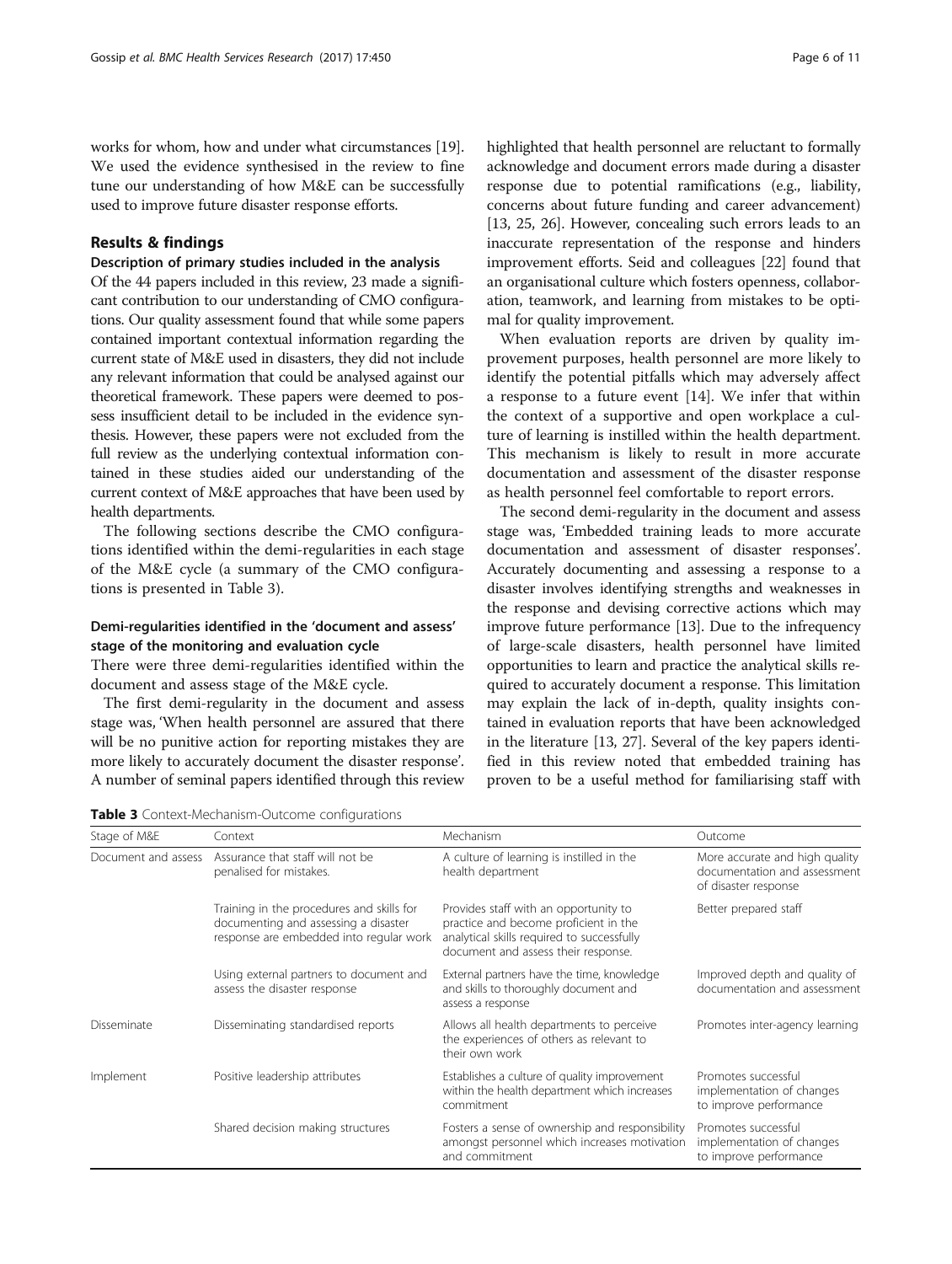works for whom, how and under what circumstances [[19](#page-10-0)]. We used the evidence synthesised in the review to fine tune our understanding of how M&E can be successfully used to improve future disaster response efforts.

# Results & findings

# Description of primary studies included in the analysis

Of the 44 papers included in this review, 23 made a significant contribution to our understanding of CMO configurations. Our quality assessment found that while some papers contained important contextual information regarding the current state of M&E used in disasters, they did not include any relevant information that could be analysed against our theoretical framework. These papers were deemed to possess insufficient detail to be included in the evidence synthesis. However, these papers were not excluded from the full review as the underlying contextual information contained in these studies aided our understanding of the current context of M&E approaches that have been used by health departments.

The following sections describe the CMO configurations identified within the demi-regularities in each stage of the M&E cycle (a summary of the CMO configurations is presented in Table 3).

# Demi-regularities identified in the 'document and assess' stage of the monitoring and evaluation cycle

There were three demi-regularities identified within the document and assess stage of the M&E cycle.

The first demi-regularity in the document and assess stage was, 'When health personnel are assured that there will be no punitive action for reporting mistakes they are more likely to accurately document the disaster response'. A number of seminal papers identified through this review highlighted that health personnel are reluctant to formally acknowledge and document errors made during a disaster response due to potential ramifications (e.g., liability, concerns about future funding and career advancement) [[13](#page-10-0), [25, 26](#page-10-0)]. However, concealing such errors leads to an inaccurate representation of the response and hinders improvement efforts. Seid and colleagues [\[22](#page-10-0)] found that an organisational culture which fosters openness, collaboration, teamwork, and learning from mistakes to be optimal for quality improvement.

When evaluation reports are driven by quality improvement purposes, health personnel are more likely to identify the potential pitfalls which may adversely affect a response to a future event [[14\]](#page-10-0). We infer that within the context of a supportive and open workplace a culture of learning is instilled within the health department. This mechanism is likely to result in more accurate documentation and assessment of the disaster response as health personnel feel comfortable to report errors.

The second demi-regularity in the document and assess stage was, 'Embedded training leads to more accurate documentation and assessment of disaster responses'. Accurately documenting and assessing a response to a disaster involves identifying strengths and weaknesses in the response and devising corrective actions which may improve future performance [[13\]](#page-10-0). Due to the infrequency of large-scale disasters, health personnel have limited opportunities to learn and practice the analytical skills required to accurately document a response. This limitation may explain the lack of in-depth, quality insights contained in evaluation reports that have been acknowledged in the literature [\[13](#page-10-0), [27](#page-10-0)]. Several of the key papers identified in this review noted that embedded training has proven to be a useful method for familiarising staff with

Table 3 Context-Mechanism-Outcome configurations

| Stage of M&E        | Context                                                                                                                      | Mechanism                                                                                                                                                           | Outcome                                                                                |
|---------------------|------------------------------------------------------------------------------------------------------------------------------|---------------------------------------------------------------------------------------------------------------------------------------------------------------------|----------------------------------------------------------------------------------------|
| Document and assess | Assurance that staff will not be<br>penalised for mistakes.                                                                  | A culture of learning is instilled in the<br>health department                                                                                                      | More accurate and high quality<br>documentation and assessment<br>of disaster response |
|                     | Training in the procedures and skills for<br>documenting and assessing a disaster<br>response are embedded into regular work | Provides staff with an opportunity to<br>practice and become proficient in the<br>analytical skills required to successfully<br>document and assess their response. | Better prepared staff                                                                  |
|                     | Using external partners to document and<br>assess the disaster response                                                      | External partners have the time, knowledge<br>and skills to thoroughly document and<br>assess a response                                                            | Improved depth and quality of<br>documentation and assessment                          |
| Disseminate         | Disseminating standardised reports                                                                                           | Allows all health departments to perceive<br>the experiences of others as relevant to<br>their own work                                                             | Promotes inter-agency learning                                                         |
| Implement           | Positive leadership attributes                                                                                               | Establishes a culture of quality improvement<br>within the health department which increases<br>commitment                                                          | Promotes successful<br>implementation of changes<br>to improve performance             |
|                     | Shared decision making structures                                                                                            | Fosters a sense of ownership and responsibility<br>amongst personnel which increases motivation<br>and commitment                                                   | Promotes successful<br>implementation of changes<br>to improve performance             |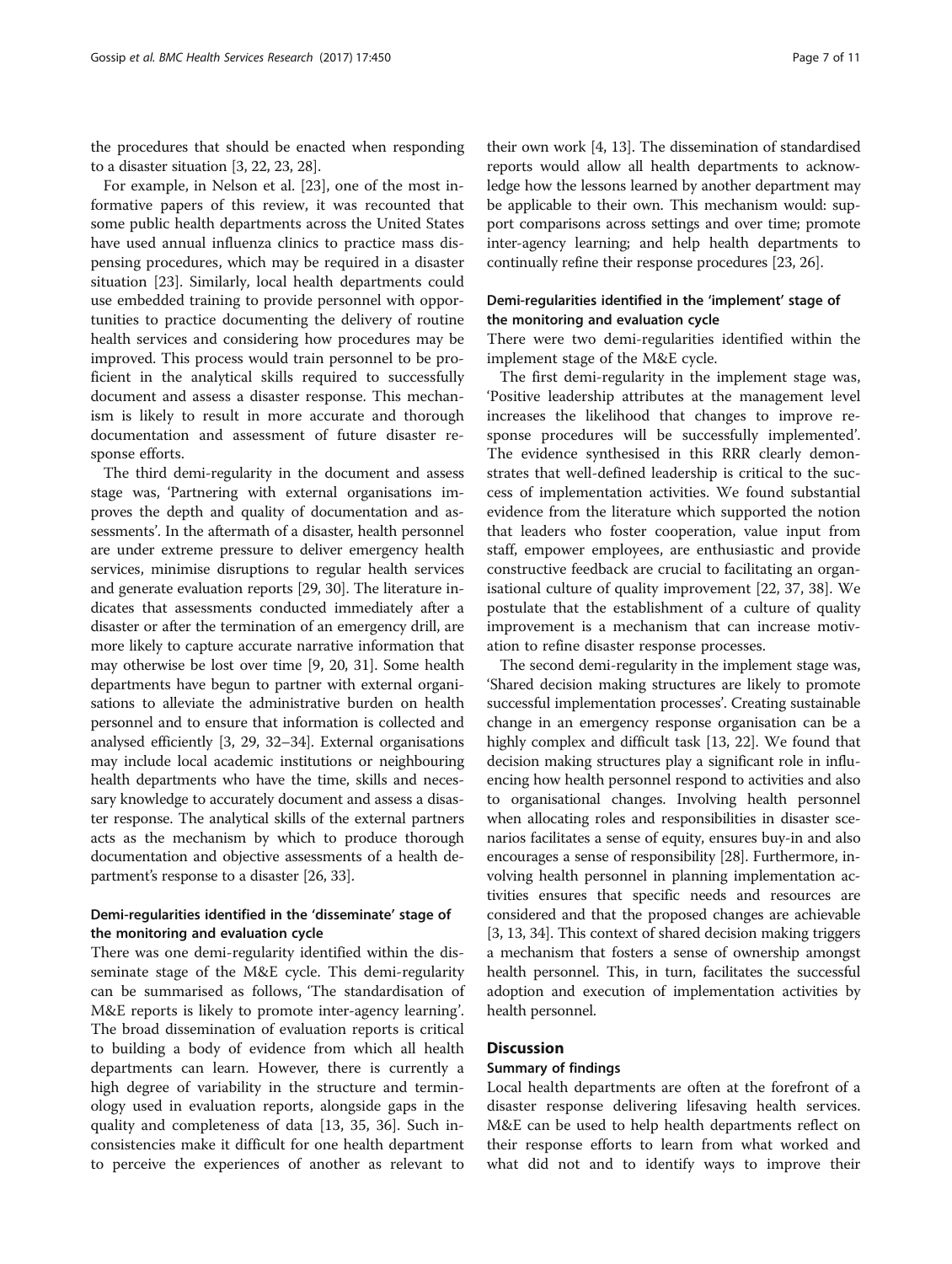the procedures that should be enacted when responding to a disaster situation [[3,](#page-9-0) [22, 23](#page-10-0), [28\]](#page-10-0).

For example, in Nelson et al. [\[23](#page-10-0)], one of the most informative papers of this review, it was recounted that some public health departments across the United States have used annual influenza clinics to practice mass dispensing procedures, which may be required in a disaster situation [\[23](#page-10-0)]. Similarly, local health departments could use embedded training to provide personnel with opportunities to practice documenting the delivery of routine health services and considering how procedures may be improved. This process would train personnel to be proficient in the analytical skills required to successfully document and assess a disaster response. This mechanism is likely to result in more accurate and thorough documentation and assessment of future disaster response efforts.

The third demi-regularity in the document and assess stage was, 'Partnering with external organisations improves the depth and quality of documentation and assessments'. In the aftermath of a disaster, health personnel are under extreme pressure to deliver emergency health services, minimise disruptions to regular health services and generate evaluation reports [\[29, 30](#page-10-0)]. The literature indicates that assessments conducted immediately after a disaster or after the termination of an emergency drill, are more likely to capture accurate narrative information that may otherwise be lost over time [[9](#page-10-0), [20, 31](#page-10-0)]. Some health departments have begun to partner with external organisations to alleviate the administrative burden on health personnel and to ensure that information is collected and analysed efficiently [\[3,](#page-9-0) [29](#page-10-0), [32](#page-10-0)–[34](#page-10-0)]. External organisations may include local academic institutions or neighbouring health departments who have the time, skills and necessary knowledge to accurately document and assess a disaster response. The analytical skills of the external partners acts as the mechanism by which to produce thorough documentation and objective assessments of a health department's response to a disaster [[26](#page-10-0), [33\]](#page-10-0).

# Demi-regularities identified in the 'disseminate' stage of the monitoring and evaluation cycle

There was one demi-regularity identified within the disseminate stage of the M&E cycle. This demi-regularity can be summarised as follows, 'The standardisation of M&E reports is likely to promote inter-agency learning'. The broad dissemination of evaluation reports is critical to building a body of evidence from which all health departments can learn. However, there is currently a high degree of variability in the structure and terminology used in evaluation reports, alongside gaps in the quality and completeness of data [\[13](#page-10-0), [35](#page-10-0), [36](#page-10-0)]. Such inconsistencies make it difficult for one health department to perceive the experiences of another as relevant to

their own work [[4,](#page-9-0) [13](#page-10-0)]. The dissemination of standardised reports would allow all health departments to acknowledge how the lessons learned by another department may be applicable to their own. This mechanism would: support comparisons across settings and over time; promote inter-agency learning; and help health departments to continually refine their response procedures [\[23, 26](#page-10-0)].

# Demi-regularities identified in the 'implement' stage of the monitoring and evaluation cycle

There were two demi-regularities identified within the implement stage of the M&E cycle.

The first demi-regularity in the implement stage was, 'Positive leadership attributes at the management level increases the likelihood that changes to improve response procedures will be successfully implemented'. The evidence synthesised in this RRR clearly demonstrates that well-defined leadership is critical to the success of implementation activities. We found substantial evidence from the literature which supported the notion that leaders who foster cooperation, value input from staff, empower employees, are enthusiastic and provide constructive feedback are crucial to facilitating an organisational culture of quality improvement [\[22, 37, 38\]](#page-10-0). We postulate that the establishment of a culture of quality improvement is a mechanism that can increase motivation to refine disaster response processes.

The second demi-regularity in the implement stage was, 'Shared decision making structures are likely to promote successful implementation processes'. Creating sustainable change in an emergency response organisation can be a highly complex and difficult task [[13, 22\]](#page-10-0). We found that decision making structures play a significant role in influencing how health personnel respond to activities and also to organisational changes. Involving health personnel when allocating roles and responsibilities in disaster scenarios facilitates a sense of equity, ensures buy-in and also encourages a sense of responsibility [[28](#page-10-0)]. Furthermore, involving health personnel in planning implementation activities ensures that specific needs and resources are considered and that the proposed changes are achievable [[3,](#page-9-0) [13, 34](#page-10-0)]. This context of shared decision making triggers a mechanism that fosters a sense of ownership amongst health personnel. This, in turn, facilitates the successful adoption and execution of implementation activities by health personnel.

# **Discussion**

# Summary of findings

Local health departments are often at the forefront of a disaster response delivering lifesaving health services. M&E can be used to help health departments reflect on their response efforts to learn from what worked and what did not and to identify ways to improve their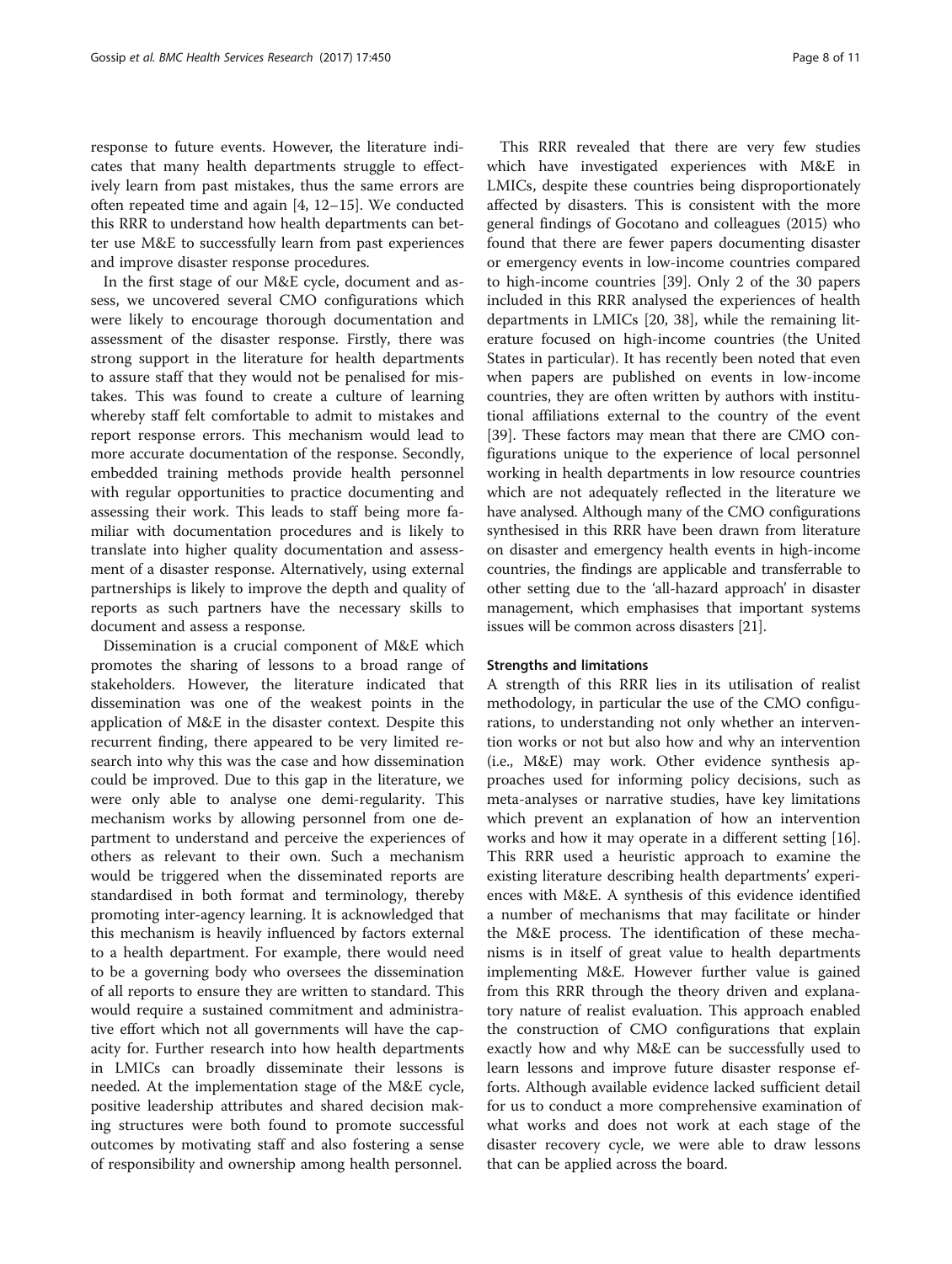response to future events. However, the literature indicates that many health departments struggle to effectively learn from past mistakes, thus the same errors are often repeated time and again [\[4](#page-9-0), [12](#page-10-0)–[15\]](#page-10-0). We conducted this RRR to understand how health departments can better use M&E to successfully learn from past experiences and improve disaster response procedures.

In the first stage of our M&E cycle, document and assess, we uncovered several CMO configurations which were likely to encourage thorough documentation and assessment of the disaster response. Firstly, there was strong support in the literature for health departments to assure staff that they would not be penalised for mistakes. This was found to create a culture of learning whereby staff felt comfortable to admit to mistakes and report response errors. This mechanism would lead to more accurate documentation of the response. Secondly, embedded training methods provide health personnel with regular opportunities to practice documenting and assessing their work. This leads to staff being more familiar with documentation procedures and is likely to translate into higher quality documentation and assessment of a disaster response. Alternatively, using external partnerships is likely to improve the depth and quality of reports as such partners have the necessary skills to document and assess a response.

Dissemination is a crucial component of M&E which promotes the sharing of lessons to a broad range of stakeholders. However, the literature indicated that dissemination was one of the weakest points in the application of M&E in the disaster context. Despite this recurrent finding, there appeared to be very limited research into why this was the case and how dissemination could be improved. Due to this gap in the literature, we were only able to analyse one demi-regularity. This mechanism works by allowing personnel from one department to understand and perceive the experiences of others as relevant to their own. Such a mechanism would be triggered when the disseminated reports are standardised in both format and terminology, thereby promoting inter-agency learning. It is acknowledged that this mechanism is heavily influenced by factors external to a health department. For example, there would need to be a governing body who oversees the dissemination of all reports to ensure they are written to standard. This would require a sustained commitment and administrative effort which not all governments will have the capacity for. Further research into how health departments in LMICs can broadly disseminate their lessons is needed. At the implementation stage of the M&E cycle, positive leadership attributes and shared decision making structures were both found to promote successful outcomes by motivating staff and also fostering a sense of responsibility and ownership among health personnel.

This RRR revealed that there are very few studies which have investigated experiences with M&E in LMICs, despite these countries being disproportionately affected by disasters. This is consistent with the more general findings of Gocotano and colleagues (2015) who found that there are fewer papers documenting disaster or emergency events in low-income countries compared to high-income countries [\[39](#page-10-0)]. Only 2 of the 30 papers included in this RRR analysed the experiences of health departments in LMICs [\[20, 38](#page-10-0)], while the remaining literature focused on high-income countries (the United States in particular). It has recently been noted that even when papers are published on events in low-income countries, they are often written by authors with institutional affiliations external to the country of the event [[39\]](#page-10-0). These factors may mean that there are CMO configurations unique to the experience of local personnel working in health departments in low resource countries which are not adequately reflected in the literature we have analysed. Although many of the CMO configurations synthesised in this RRR have been drawn from literature on disaster and emergency health events in high-income countries, the findings are applicable and transferrable to other setting due to the 'all-hazard approach' in disaster management, which emphasises that important systems issues will be common across disasters [[21\]](#page-10-0).

#### Strengths and limitations

A strength of this RRR lies in its utilisation of realist methodology, in particular the use of the CMO configurations, to understanding not only whether an intervention works or not but also how and why an intervention (i.e., M&E) may work. Other evidence synthesis approaches used for informing policy decisions, such as meta-analyses or narrative studies, have key limitations which prevent an explanation of how an intervention works and how it may operate in a different setting [\[16](#page-10-0)]. This RRR used a heuristic approach to examine the existing literature describing health departments' experiences with M&E. A synthesis of this evidence identified a number of mechanisms that may facilitate or hinder the M&E process. The identification of these mechanisms is in itself of great value to health departments implementing M&E. However further value is gained from this RRR through the theory driven and explanatory nature of realist evaluation. This approach enabled the construction of CMO configurations that explain exactly how and why M&E can be successfully used to learn lessons and improve future disaster response efforts. Although available evidence lacked sufficient detail for us to conduct a more comprehensive examination of what works and does not work at each stage of the disaster recovery cycle, we were able to draw lessons that can be applied across the board.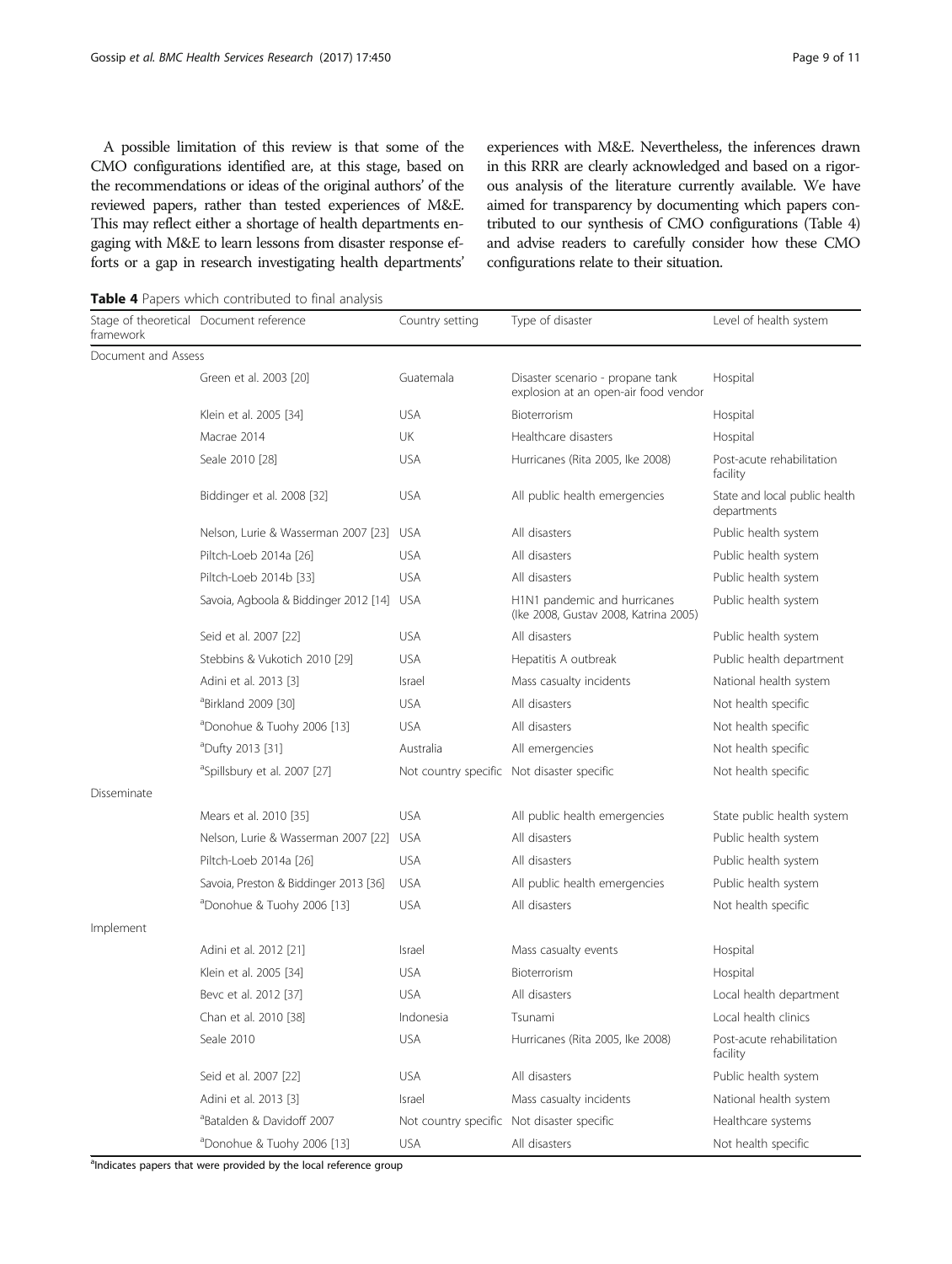A possible limitation of this review is that some of the CMO configurations identified are, at this stage, based on the recommendations or ideas of the original authors' of the reviewed papers, rather than tested experiences of M&E. This may reflect either a shortage of health departments engaging with M&E to learn lessons from disaster response efforts or a gap in research investigating health departments'

experiences with M&E. Nevertheless, the inferences drawn in this RRR are clearly acknowledged and based on a rigorous analysis of the literature currently available. We have aimed for transparency by documenting which papers contributed to our synthesis of CMO configurations (Table 4) and advise readers to carefully consider how these CMO configurations relate to their situation.

Table 4 Papers which contributed to final analysis

| framework           | Stage of theoretical Document reference   | Country setting | Type of disaster                                                         | Level of health system                       |  |  |
|---------------------|-------------------------------------------|-----------------|--------------------------------------------------------------------------|----------------------------------------------|--|--|
| Document and Assess |                                           |                 |                                                                          |                                              |  |  |
|                     | Green et al. 2003 [20]                    | Guatemala       | Disaster scenario - propane tank<br>explosion at an open-air food vendor | Hospital                                     |  |  |
|                     | Klein et al. 2005 [34]                    | <b>USA</b>      | Bioterrorism                                                             | Hospital                                     |  |  |
|                     | Macrae 2014                               | <b>UK</b>       | Healthcare disasters                                                     | Hospital                                     |  |  |
|                     | Seale 2010 [28]                           | <b>USA</b>      | Hurricanes (Rita 2005, lke 2008)                                         | Post-acute rehabilitation<br>facility        |  |  |
|                     | Biddinger et al. 2008 [32]                | <b>USA</b>      | All public health emergencies                                            | State and local public health<br>departments |  |  |
|                     | Nelson, Lurie & Wasserman 2007 [23]       | <b>USA</b>      | All disasters                                                            | Public health system                         |  |  |
|                     | Piltch-Loeb 2014a [26]                    | <b>USA</b>      | All disasters                                                            | Public health system                         |  |  |
|                     | Piltch-Loeb 2014b [33]                    | <b>USA</b>      | All disasters                                                            | Public health system                         |  |  |
|                     | Savoia, Agboola & Biddinger 2012 [14] USA |                 | H1N1 pandemic and hurricanes<br>(Ike 2008, Gustav 2008, Katrina 2005)    | Public health system                         |  |  |
|                     | Seid et al. 2007 [22]                     | <b>USA</b>      | All disasters                                                            | Public health system                         |  |  |
|                     | Stebbins & Vukotich 2010 [29]             | <b>USA</b>      | Hepatitis A outbreak                                                     | Public health department                     |  |  |
|                     | Adini et al. 2013 [3]                     | Israel          | Mass casualty incidents                                                  | National health system                       |  |  |
|                     | <sup>a</sup> Birkland 2009 [30]           | <b>USA</b>      | All disasters                                                            | Not health specific                          |  |  |
|                     | <sup>a</sup> Donohue & Tuohy 2006 [13]    | <b>USA</b>      | All disasters                                                            | Not health specific                          |  |  |
|                     | <sup>a</sup> Dufty 2013 [31]              | Australia       | All emergencies                                                          | Not health specific                          |  |  |
|                     | <sup>a</sup> Spillsbury et al. 2007 [27]  |                 | Not country specific Not disaster specific                               | Not health specific                          |  |  |
| Disseminate         |                                           |                 |                                                                          |                                              |  |  |
|                     | Mears et al. 2010 [35]                    | <b>USA</b>      | All public health emergencies                                            | State public health system                   |  |  |
|                     | Nelson, Lurie & Wasserman 2007 [22]       | <b>USA</b>      | All disasters                                                            | Public health system                         |  |  |
|                     | Piltch-Loeb 2014a [26]                    | <b>USA</b>      | All disasters                                                            | Public health system                         |  |  |
|                     | Savoia, Preston & Biddinger 2013 [36]     | <b>USA</b>      | All public health emergencies                                            | Public health system                         |  |  |
|                     | <sup>a</sup> Donohue & Tuohy 2006 [13]    | <b>USA</b>      | All disasters                                                            | Not health specific                          |  |  |
| Implement           |                                           |                 |                                                                          |                                              |  |  |
|                     | Adini et al. 2012 [21]                    | Israel          | Mass casualty events                                                     | Hospital                                     |  |  |
|                     | Klein et al. 2005 [34]                    | <b>USA</b>      | Bioterrorism                                                             | Hospital                                     |  |  |
|                     | Bevc et al. 2012 [37]                     | <b>USA</b>      | All disasters                                                            | Local health department                      |  |  |
|                     | Chan et al. 2010 [38]                     | Indonesia       | Tsunami                                                                  | Local health clinics                         |  |  |
|                     | Seale 2010                                | <b>USA</b>      | Hurricanes (Rita 2005, lke 2008)                                         | Post-acute rehabilitation<br>facility        |  |  |
|                     | Seid et al. 2007 [22]                     | <b>USA</b>      | All disasters                                                            | Public health system                         |  |  |
|                     | Adini et al. 2013 [3]                     | Israel          | Mass casualty incidents                                                  | National health system                       |  |  |
|                     | <sup>a</sup> Batalden & Davidoff 2007     |                 | Not country specific Not disaster specific                               | Healthcare systems                           |  |  |
|                     | <sup>a</sup> Donohue & Tuohy 2006 [13]    | <b>USA</b>      | All disasters                                                            | Not health specific                          |  |  |

<sup>a</sup>Indicates papers that were provided by the local reference group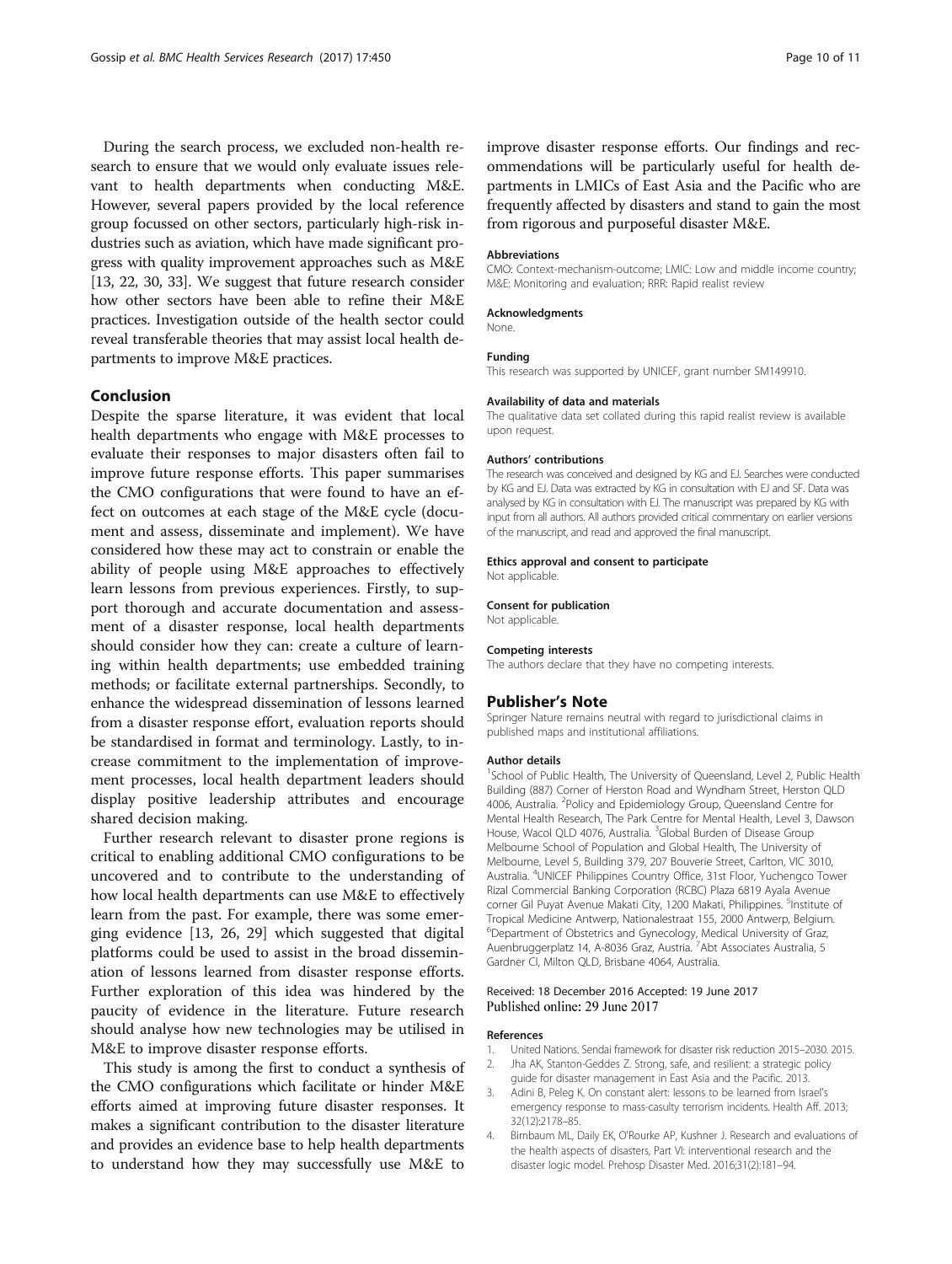<span id="page-9-0"></span>During the search process, we excluded non-health research to ensure that we would only evaluate issues relevant to health departments when conducting M&E. However, several papers provided by the local reference group focussed on other sectors, particularly high-risk industries such as aviation, which have made significant progress with quality improvement approaches such as M&E [[13](#page-10-0), [22](#page-10-0), [30, 33\]](#page-10-0). We suggest that future research consider how other sectors have been able to refine their M&E practices. Investigation outside of the health sector could reveal transferable theories that may assist local health departments to improve M&E practices.

#### Conclusion

Despite the sparse literature, it was evident that local health departments who engage with M&E processes to evaluate their responses to major disasters often fail to improve future response efforts. This paper summarises the CMO configurations that were found to have an effect on outcomes at each stage of the M&E cycle (document and assess, disseminate and implement). We have considered how these may act to constrain or enable the ability of people using M&E approaches to effectively learn lessons from previous experiences. Firstly, to support thorough and accurate documentation and assessment of a disaster response, local health departments should consider how they can: create a culture of learning within health departments; use embedded training methods; or facilitate external partnerships. Secondly, to enhance the widespread dissemination of lessons learned from a disaster response effort, evaluation reports should be standardised in format and terminology. Lastly, to increase commitment to the implementation of improvement processes, local health department leaders should display positive leadership attributes and encourage shared decision making.

Further research relevant to disaster prone regions is critical to enabling additional CMO configurations to be uncovered and to contribute to the understanding of how local health departments can use M&E to effectively learn from the past. For example, there was some emerging evidence [[13](#page-10-0), [26, 29](#page-10-0)] which suggested that digital platforms could be used to assist in the broad dissemination of lessons learned from disaster response efforts. Further exploration of this idea was hindered by the paucity of evidence in the literature. Future research should analyse how new technologies may be utilised in M&E to improve disaster response efforts.

This study is among the first to conduct a synthesis of the CMO configurations which facilitate or hinder M&E efforts aimed at improving future disaster responses. It makes a significant contribution to the disaster literature and provides an evidence base to help health departments to understand how they may successfully use M&E to

improve disaster response efforts. Our findings and recommendations will be particularly useful for health departments in LMICs of East Asia and the Pacific who are frequently affected by disasters and stand to gain the most from rigorous and purposeful disaster M&E.

#### Abbreviations

CMO: Context-mechanism-outcome; LMIC: Low and middle income country; M&E: Monitoring and evaluation; RRR: Rapid realist review

#### Acknowledgments

None.

#### Funding

This research was supported by UNICEF, grant number SM149910.

#### Availability of data and materials

The qualitative data set collated during this rapid realist review is available upon request.

#### Authors' contributions

The research was conceived and designed by KG and EJ. Searches were conducted by KG and EJ. Data was extracted by KG in consultation with EJ and SF. Data was analysed by KG in consultation with EJ. The manuscript was prepared by KG with input from all authors. All authors provided critical commentary on earlier versions of the manuscript, and read and approved the final manuscript.

#### Ethics approval and consent to participate

# Consent for publication

Not applicable.

Not applicable.

#### Competing interests

The authors declare that they have no competing interests.

#### Publisher's Note

Springer Nature remains neutral with regard to jurisdictional claims in published maps and institutional affiliations.

#### Author details

<sup>1</sup>School of Public Health, The University of Queensland, Level 2, Public Health Building (887) Corner of Herston Road and Wyndham Street, Herston QLD 4006, Australia. <sup>2</sup>Policy and Epidemiology Group, Queensland Centre for Mental Health Research, The Park Centre for Mental Health, Level 3, Dawson House, Wacol QLD 4076, Australia. <sup>3</sup>Global Burden of Disease Group Melbourne School of Population and Global Health, The University of Melbourne, Level 5, Building 379, 207 Bouverie Street, Carlton, VIC 3010, Australia. <sup>4</sup> UNICEF Philippines Country Office, 31st Floor, Yuchengco Tower Rizal Commercial Banking Corporation (RCBC) Plaza 6819 Ayala Avenue corner Gil Puyat Avenue Makati City, 1200 Makati, Philippines. <sup>5</sup>Institute of Tropical Medicine Antwerp, Nationalestraat 155, 2000 Antwerp, Belgium. 6 Department of Obstetrics and Gynecology, Medical University of Graz, Auenbruggerplatz 14, A-8036 Graz, Austria. <sup>7</sup>Abt Associates Australia, 5 Gardner Cl, Milton QLD, Brisbane 4064, Australia.

# Received: 18 December 2016 Accepted: 19 June 2017 Published online: 29 June 2017

#### References

- 1. United Nations. Sendai framework for disaster risk reduction 2015–2030. 2015.
- 2. Jha AK, Stanton-Geddes Z. Strong, safe, and resilient: a strategic policy guide for disaster management in East Asia and the Pacific. 2013.
- 3. Adini B, Peleg K. On constant alert: lessons to be learned from Israel's emergency response to mass-casulty terrorism incidents. Health Aff. 2013; 32(12):2178–85.
- 4. Birnbaum ML, Daily EK, O'Rourke AP, Kushner J. Research and evaluations of the health aspects of disasters, Part VI: interventional research and the disaster logic model. Prehosp Disaster Med. 2016;31(2):181–94.